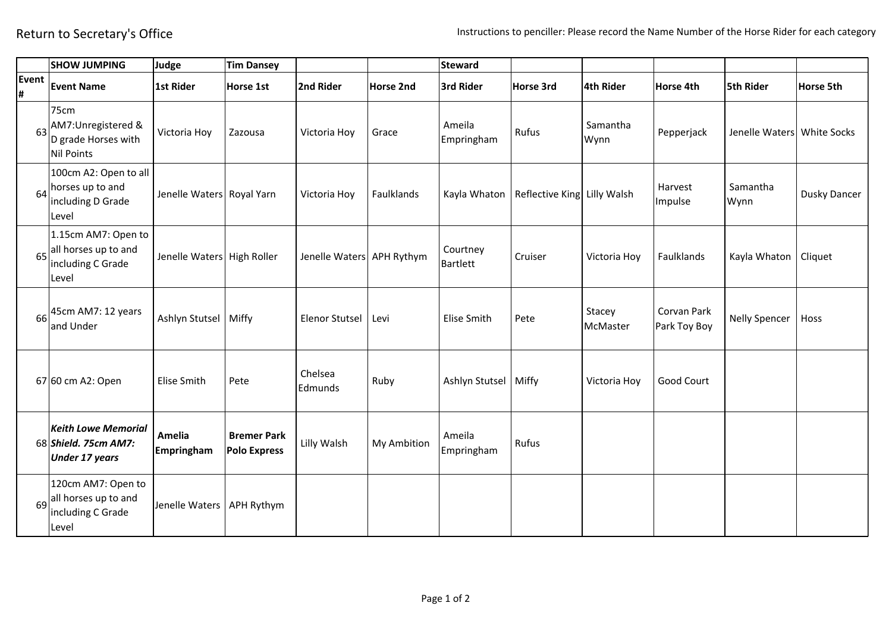|            | <b>SHOW JUMPING</b>                                                          | Judge                      | <b>Tim Dansey</b>                         |                           |                  | <b>Steward</b>              |                                              |                    |                             |                            |                  |
|------------|------------------------------------------------------------------------------|----------------------------|-------------------------------------------|---------------------------|------------------|-----------------------------|----------------------------------------------|--------------------|-----------------------------|----------------------------|------------------|
| Event<br># | <b>Event Name</b>                                                            | 1st Rider                  | Horse 1st                                 | 2nd Rider                 | <b>Horse 2nd</b> | 3rd Rider                   | Horse 3rd                                    | 4th Rider          | Horse 4th                   | <b>5th Rider</b>           | <b>Horse 5th</b> |
| 63         | 75cm<br>AM7:Unregistered &<br>D grade Horses with<br>Nil Points              | Victoria Hoy               | Zazousa                                   | Victoria Hoy              | Grace            | Ameila<br>Empringham        | Rufus                                        | Samantha<br>Wynn   | Pepperjack                  | Jenelle Waters White Socks |                  |
| 64         | 100cm A2: Open to all<br>horses up to and<br>including D Grade<br>Level      | Jenelle Waters Royal Yarn  |                                           | Victoria Hoy              | Faulklands       |                             | Kayla Whaton   Reflective King   Lilly Walsh |                    | Harvest<br>Impulse          | Samantha<br>Wynn           | Dusky Dancer     |
|            | 1.15cm AM7: Open to<br>65 all horses up to and<br>including C Grade<br>Level | Jenelle Waters High Roller |                                           | Jenelle Waters APH Rythym |                  | Courtney<br><b>Bartlett</b> | Cruiser                                      | Victoria Hoy       | Faulklands                  | Kayla Whaton               | Cliquet          |
|            | $66$ <sup>45cm</sup> AM7: 12 years<br>and Under                              | Ashlyn Stutsel             | Miffy                                     | <b>Elenor Stutsel</b>     | Levi             | Elise Smith                 | Pete                                         | Stacey<br>McMaster | Corvan Park<br>Park Toy Boy | <b>Nelly Spencer</b>       | Hoss             |
|            | 67 60 cm A2: Open                                                            | Elise Smith                | Pete                                      | Chelsea<br>Edmunds        | Ruby             | Ashlyn Stutsel              | Miffy                                        | Victoria Hoy       | Good Court                  |                            |                  |
|            | <b>Keith Lowe Memorial</b><br>68 Shield. 75cm AM7:<br><b>Under 17 years</b>  | Amelia<br>Empringham       | <b>Bremer Park</b><br><b>Polo Express</b> | Lilly Walsh               | My Ambition      | Ameila<br>Empringham        | Rufus                                        |                    |                             |                            |                  |
|            | 120cm AM7: Open to<br>69 all horses up to and<br>including C Grade<br>Level  | Jenelle Waters             | APH Rythym                                |                           |                  |                             |                                              |                    |                             |                            |                  |